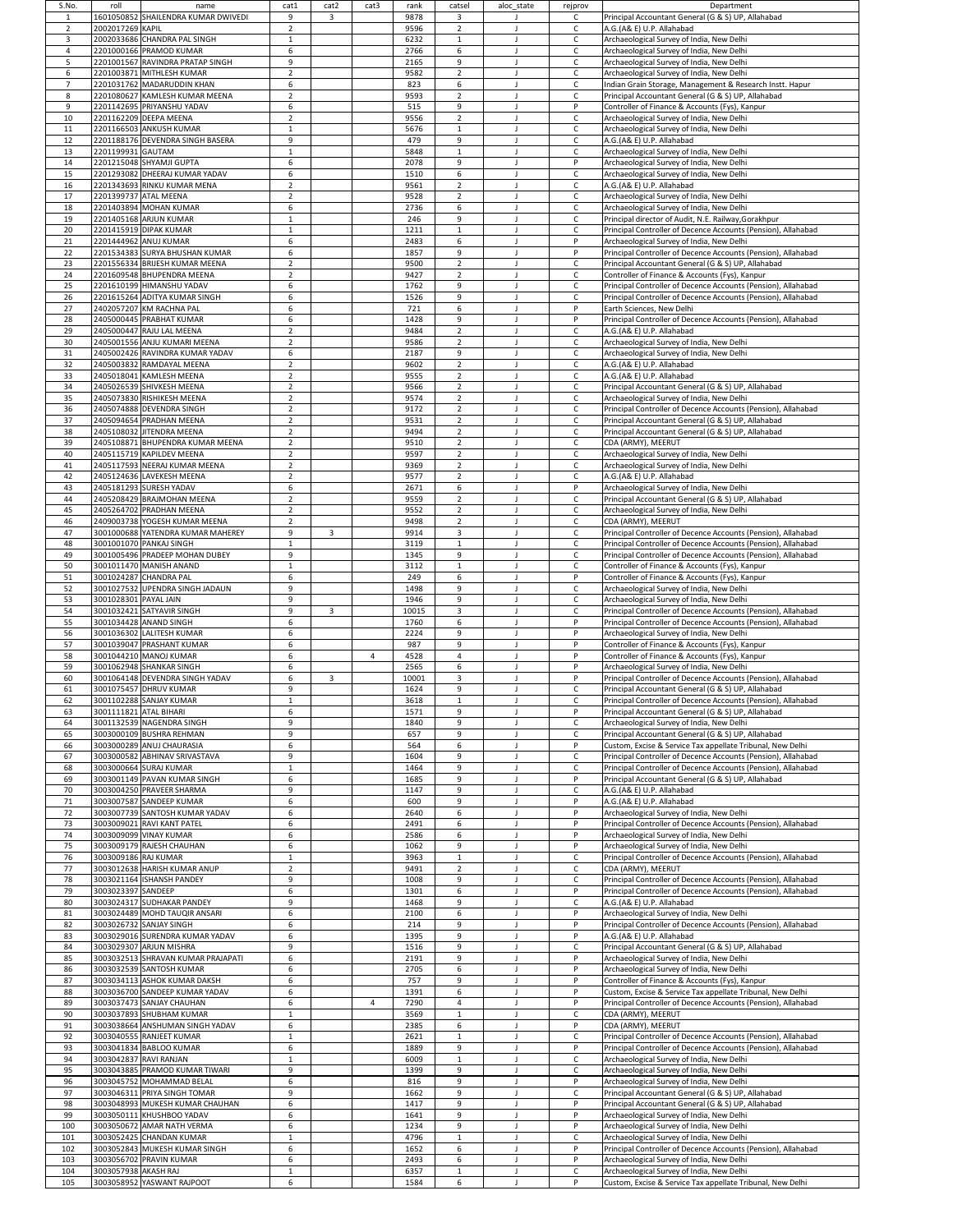| S.No.<br>-1    | roll                   | name<br>1601050852 SHAILENDRA KUMAR DWIVEDI                      | cat1<br>9                        | cat2<br>$\overline{3}$ | cat3           | rank<br>9878 | catsel<br>3                      | aloc state | rejprov<br>C                 | Department<br>Principal Accountant General (G & S) UP, Allahabad                                                               |
|----------------|------------------------|------------------------------------------------------------------|----------------------------------|------------------------|----------------|--------------|----------------------------------|------------|------------------------------|--------------------------------------------------------------------------------------------------------------------------------|
| $\overline{2}$ | 2002017269 KAPIL       |                                                                  | $\overline{2}$                   |                        |                | 9596         | $\overline{2}$                   |            | $\mathsf C$                  | A.G.(A& E) U.P. Allahabad                                                                                                      |
| $\overline{3}$ |                        | 2002033686 CHANDRA PAL SINGH                                     | -1                               |                        |                | 6232         | 1                                |            | $\mathsf{C}$                 | Archaeological Survey of India, New Delhi                                                                                      |
| 4              |                        | 2201000166 PRAMOD KUMAR                                          | 6                                |                        |                | 2766         | 6                                |            | $\mathsf C$                  | Archaeological Survey of India, New Delhi                                                                                      |
| 5<br>6         |                        | 2201001567 RAVINDRA PRATAP SINGH<br>2201003871 MITHLESH KUMAR    | 9<br>$\overline{2}$              |                        |                | 2165<br>9582 | 9<br>$\overline{2}$              |            | $\mathsf C$<br>$\mathsf{C}$  | Archaeological Survey of India, New Delhi<br>Archaeological Survey of India, New Delhi                                         |
| $\overline{7}$ |                        | 2201031762 MADARUDDIN KHAN                                       | 6                                |                        |                | 823          | 6                                |            | $\mathsf{C}$                 | Indian Grain Storage, Management & Research Instt. Hapur                                                                       |
| 8              |                        | 2201080627 KAMLESH KUMAR MEENA                                   | $\overline{2}$                   |                        |                | 9593         | $\overline{2}$                   |            | $\mathsf C$                  | Principal Accountant General (G & S) UP, Allahabad                                                                             |
| 9<br>10        |                        | 2201142695 PRIYANSHU YADAV<br>2201162209 DEEPA MEENA             | 6<br>$\overline{2}$              |                        |                | 515<br>9556  | 9<br>$\overline{2}$              |            | P<br>$\mathsf C$             | Controller of Finance & Accounts (Fys), Kanpur<br>Archaeological Survey of India, New Delhi                                    |
| 11             |                        | 2201166503 ANKUSH KUMAR                                          | -1                               |                        |                | 5676         | 1                                |            | $\mathsf C$                  | Archaeological Survey of India, New Delhi                                                                                      |
| 12             |                        | 2201188176 DEVENDRA SINGH BASERA                                 | 9                                |                        |                | 479          | 9                                |            | $\mathsf{C}$                 | A.G.(A& E) U.P. Allahabad                                                                                                      |
| 13             | 2201199931 GAUTAM      |                                                                  |                                  |                        |                | 5848         |                                  |            | $\mathsf C$                  | Archaeological Survey of India, New Delhi                                                                                      |
| 14<br>15       |                        | 2201215048 SHYAMJI GUPTA<br>2201293082 DHEERAJ KUMAR YADAV       | 6<br>6                           |                        |                | 2078<br>1510 | 9<br>6                           |            | $\mathsf{P}$<br>$\mathsf{C}$ | Archaeological Survey of India, New Delhi<br>Archaeological Survey of India, New Delhi                                         |
| 16             |                        | 2201343693 RINKU KUMAR MENA                                      | $\overline{2}$                   |                        |                | 9561         | $\overline{2}$                   |            | $\mathsf{C}$                 | A.G.(A& E) U.P. Allahabad                                                                                                      |
| 17             |                        | 2201399737 ATAL MEENA                                            | $\overline{2}$                   |                        |                | 9528         | $\overline{2}$                   |            | $\mathsf{C}$                 | Archaeological Survey of India, New Delhi                                                                                      |
| 18<br>19       |                        | 2201403894 MOHAN KUMAR<br>2201405168 ARJUN KUMAR                 | 6<br>$\mathbf 1$                 |                        |                | 2736<br>246  | 6<br>9                           |            | $\mathsf{C}$<br>$\mathsf C$  | Archaeological Survey of India, New Delhi<br>Principal director of Audit, N.E. Railway, Gorakhpur                              |
| 20             |                        | 2201415919 DIPAK KUMAR                                           | -1                               |                        |                | 1211         | $\mathbf{1}$                     |            | $\mathsf{C}$                 | Principal Controller of Decence Accounts (Pension), Allahabad                                                                  |
| 21             |                        | 2201444962 ANUJ KUMAR                                            | 6                                |                        |                | 2483         | 6                                |            | P                            | Archaeological Survey of India, New Delhi                                                                                      |
| 22<br>23       |                        | 2201534383 SURYA BHUSHAN KUMAR<br>2201556334 BRIJESH KUMAR MEENA | 6<br>$\overline{2}$              |                        |                | 1857<br>9500 | 9<br>$\overline{2}$              |            | P<br>$\mathsf{C}$            | Principal Controller of Decence Accounts (Pension), Allahabad<br>Principal Accountant General (G & S) UP, Allahabad            |
| 24             |                        | 2201609548 BHUPENDRA MEENA                                       | $\mathcal{P}$                    |                        |                | 9427         | $\overline{2}$                   |            | $\mathsf C$                  | Controller of Finance & Accounts (Fys), Kanpur                                                                                 |
| 25             |                        | 2201610199 HIMANSHU YADAV                                        | 6                                |                        |                | 1762         | 9                                |            | $\mathsf{C}$                 | Principal Controller of Decence Accounts (Pension), Allahabad                                                                  |
| 26<br>27       |                        | 2201615264 ADITYA KUMAR SINGH<br>2402057207 KM RACHNA PAL        | 6<br>6                           |                        |                | 1526<br>721  | 9<br>6                           |            | $\mathsf{C}$<br>P            | Principal Controller of Decence Accounts (Pension), Allahabad<br>Earth Sciences, New Delhi                                     |
| 28             |                        | 2405000445 PRABHAT KUMAR                                         | 6                                |                        |                | 1428         | 9                                |            | P                            | Principal Controller of Decence Accounts (Pension), Allahabad                                                                  |
| 29             |                        | 2405000447 RAJU LAL MEENA                                        | $\mathcal{P}$                    |                        |                | 9484         | $2^{\circ}$                      |            | $\mathsf C$                  | A.G.(A& E) U.P. Allahabad                                                                                                      |
| 30             |                        | 2405001556 ANJU KUMARI MEENA                                     | $\overline{2}$                   |                        |                | 9586         | $\overline{2}$                   |            | $\mathsf{C}$                 | Archaeological Survey of India, New Delhi                                                                                      |
| 31<br>32       |                        | 2405002426 RAVINDRA KUMAR YADAV<br>2405003832 RAMDAYAL MEENA     | 6<br>$\overline{2}$              |                        |                | 2187<br>9602 | 9<br>$2^{\circ}$                 |            | $\mathsf{C}$<br>$\mathsf{C}$ | Archaeological Survey of India, New Delhi<br>A.G.(A& E) U.P. Allahabad                                                         |
| 33             |                        | 2405018041 KAMLESH MEENA                                         | $\overline{2}$                   |                        |                | 9555         | $\overline{2}$                   |            | $\mathsf{C}$                 | A.G.(A& E) U.P. Allahabad                                                                                                      |
| 34             |                        | 2405026539 SHIVKESH MEENA                                        | $\overline{2}$                   |                        |                | 9566         | $\overline{2}$                   |            | $\mathsf{C}$                 | Principal Accountant General (G & S) UP, Allahabad                                                                             |
| 35<br>36       |                        | 2405073830 RISHIKESH MEENA<br>2405074888 DEVENDRA SINGH          | $\overline{2}$<br>$\overline{2}$ |                        |                | 9574<br>9172 | $2^{\circ}$<br>$2^{\circ}$       |            | $\mathsf{C}$<br>$\mathsf C$  | Archaeological Survey of India, New Delhi<br>Principal Controller of Decence Accounts (Pension), Allahabad                     |
| 37             |                        | 2405094654 PRADHAN MEENA                                         | $\overline{2}$                   |                        |                | 9531         | $\overline{2}$                   |            | $\mathsf{C}$                 | Principal Accountant General (G & S) UP, Allahabad                                                                             |
| 38             |                        | 2405108032 JITENDRA MEENA                                        | $\overline{2}$                   |                        |                | 9494         | $2^{\circ}$                      |            | $\mathsf{C}$                 | Principal Accountant General (G & S) UP, Allahabad                                                                             |
| 39             |                        | 2405108871 BHUPENDRA KUMAR MEENA<br>2405115719 KAPILDEV MEENA    | $\overline{2}$<br>-2             |                        |                | 9510<br>9597 | $\overline{2}$                   |            | $\mathsf{C}$                 | CDA (ARMY), MEERUT                                                                                                             |
| 40<br>41       |                        | 2405117593 NEERAJ KUMAR MEENA                                    | $\overline{2}$                   |                        |                | 9369         | $\overline{2}$<br>$\overline{2}$ |            | $\mathsf{C}$<br>$\mathsf C$  | Archaeological Survey of India, New Delhi<br>Archaeological Survey of India, New Delhi                                         |
| 42             |                        | 2405124636 LAVEKESH MEENA                                        | $\overline{2}$                   |                        |                | 9577         | $\overline{2}$                   |            | $\mathsf C$                  | A.G.(A& E) U.P. Allahabad                                                                                                      |
| 43             |                        | 2405181293 SURESH YADAV                                          | 6                                |                        |                | 2671         | 6                                |            | P                            | Archaeological Survey of India, New Delhi                                                                                      |
| 44<br>45       |                        | 2405208429 BRAJMOHAN MEENA<br>2405264702 PRADHAN MEENA           | $\overline{2}$<br>$\overline{z}$ |                        |                | 9559<br>9552 | $\overline{2}$<br>$\overline{2}$ |            | $\mathsf C$<br>$\mathsf C$   | Principal Accountant General (G & S) UP, Allahabad<br>Archaeological Survey of India, New Delhi                                |
| 46             |                        | 2409003738 YOGESH KUMAR MEENA                                    | $\overline{2}$                   |                        |                | 9498         | $2^{\circ}$                      |            | $\mathsf{C}$                 | CDA (ARMY), MEERUT                                                                                                             |
| 47             |                        | 3001000688 YATENDRA KUMAR MAHEREY                                | 9                                | $\overline{3}$         |                | 9914         | $\overline{3}$                   |            | $\mathsf{C}$                 | Principal Controller of Decence Accounts (Pension), Allahabad                                                                  |
| 48<br>49       |                        | 3001001070 PANKAJ SINGH<br>3001005496 PRADEEP MOHAN DUBEY        | -1<br>9                          |                        |                | 3119<br>1345 | $\mathbf{1}$<br>9                |            | $\mathsf{C}$<br>$\mathsf{C}$ | Principal Controller of Decence Accounts (Pension), Allahabad<br>Principal Controller of Decence Accounts (Pension), Allahabad |
| 50             |                        | 3001011470 MANISH ANAND                                          | 1                                |                        |                | 3112         | 1                                |            | $\mathsf{C}$                 | Controller of Finance & Accounts (Fys), Kanpur                                                                                 |
| 51             |                        | 3001024287 CHANDRA PAL                                           | 6                                |                        |                | 249          | 6                                |            | P                            | Controller of Finance & Accounts (Fys), Kanpur                                                                                 |
| 52<br>53       | 3001028301 PAYAL JAIN  | 3001027532 UPENDRA SINGH JADAUN                                  | 9<br>9                           |                        |                | 1498<br>1946 | 9<br>9                           |            | $\mathsf{C}$<br>$\mathsf C$  | Archaeological Survey of India, New Delhi<br>Archaeological Survey of India, New Delhi                                         |
| 54             |                        | 3001032421 SATYAVIR SINGH                                        | 9                                | $\overline{3}$         |                | 10015        | 3                                |            | $\mathsf{C}$                 | Principal Controller of Decence Accounts (Pension), Allahabad                                                                  |
| 55             |                        | 3001034428 ANAND SINGH                                           | 6                                |                        |                | 1760         | 6                                |            | P                            | Principal Controller of Decence Accounts (Pension), Allahabad                                                                  |
| 56             |                        | 3001036302 LALITESH KUMAR<br>3001039047 PRASHANT KUMAR           | 6<br>6                           |                        |                | 2224         | 9                                |            | $\mathsf{P}$                 | Archaeological Survey of India, New Delhi                                                                                      |
| 57<br>58       |                        | 3001044210 MANOJ KUMAR                                           | 6                                |                        | $\overline{4}$ | 987<br>4528  | 9<br>4                           |            | P<br>P                       | Controller of Finance & Accounts (Fys), Kanpur<br>Controller of Finance & Accounts (Fys), Kanpur                               |
| 59             |                        | 3001062948 SHANKAR SINGH                                         | 6                                |                        |                | 2565         | 6                                |            | $\mathsf{P}$                 | Archaeological Survey of India, New Delhi                                                                                      |
| 60             |                        | 3001064148 DEVENDRA SINGH YADAV                                  | 6                                | 3                      |                | 10001        | 3                                |            | P                            | Principal Controller of Decence Accounts (Pension), Allahabad                                                                  |
| 61<br>62       |                        | 3001075457 DHRUV KUMAR<br>3001102288 SANJAY KUMAR                | 9<br>-1                          |                        |                | 1624<br>3618 | 9<br>$\mathbf{1}$                |            | $\mathsf C$<br>$\mathsf{C}$  | Principal Accountant General (G & S) UP, Allahabad<br>Principal Controller of Decence Accounts (Pension), Allahabad            |
| 63             | 3001111821 ATAL BIHARI |                                                                  | 6                                |                        |                | 1571         | 9                                |            | P                            | Principal Accountant General (G & S) UP, Allahabad                                                                             |
| 64             |                        | 3001132539 NAGENDRA SINGH                                        | q                                |                        |                | 1840         | 9                                |            | C                            | Archaeological Survey of India, New Delhi                                                                                      |
| 65<br>66       |                        | 3003000109 BUSHRA REHMAN<br>3003000289 ANUJ CHAURASIA            | $\mathsf{q}$<br>6                |                        |                | 657<br>564   | 9<br>6                           |            | $\mathsf{C}$<br>P            | Principal Accountant General (G & S) UP, Allahabad<br>Custom, Excise & Service Tax appellate Tribunal, New Delhi               |
| 67             |                        | 3003000582 ABHINAV SRIVASTAVA                                    | q                                |                        |                | 1604         | 9                                |            | $\mathsf{C}$                 | Principal Controller of Decence Accounts (Pension), Allahabad                                                                  |
| 68             |                        | 3003000664 SURAJ KUMAR                                           |                                  |                        |                | 1464         | 9                                |            | C                            | Principal Controller of Decence Accounts (Pension), Allahabad                                                                  |
| 69<br>70       |                        | 3003001149 PAVAN KUMAR SINGH<br>3003004250 PRAVEER SHARMA        | 6<br>$\mathsf{q}$                |                        |                | 1685<br>1147 | 9<br>9                           |            | P<br>$\mathsf C$             | Principal Accountant General (G & S) UP, Allahabad<br>A.G.(A& E) U.P. Allahabad                                                |
| 71             |                        | 3003007587 SANDEEP KUMAR                                         | 6                                |                        |                | 600          | 9                                |            | P                            | A.G.(A& E) U.P. Allahabad                                                                                                      |
| 72             |                        | 3003007739 SANTOSH KUMAR YADAV                                   | 6                                |                        |                | 2640         | 6                                |            | P                            | Archaeological Survey of India, New Delhi                                                                                      |
| 73<br>74       |                        | 3003009021 RAVI KANT PATEL<br>3003009099 VINAY KUMAR             | 6<br>6                           |                        |                | 2491<br>2586 | 6<br>6                           |            | $\mathsf{P}$<br>P            | Principal Controller of Decence Accounts (Pension), Allahabad<br>Archaeological Survey of India, New Delhi                     |
| 75             |                        | 3003009179 RAJESH CHAUHAN                                        | 6                                |                        |                | 1062         | 9                                |            | P                            | Archaeological Survey of India, New Delhi                                                                                      |
| 76             | 3003009186 RAJ KUMAR   |                                                                  | -1                               |                        |                | 3963         | 1                                |            | $\mathsf{C}$                 | Principal Controller of Decence Accounts (Pension), Allahabad                                                                  |
| 77<br>78       |                        | 3003012638 HARISH KUMAR ANUP<br>3003021164 ISHANSH PANDEY        | $\overline{2}$<br>q              |                        |                | 9491<br>1008 | $2^{\circ}$<br>9                 |            | $\mathsf{C}$<br>$\mathsf C$  | CDA (ARMY), MEERUT<br>Principal Controller of Decence Accounts (Pension), Allahabad                                            |
| 79             | 3003023397 SANDEEP     |                                                                  | 6                                |                        |                | 1301         | 6                                |            | P                            | Principal Controller of Decence Accounts (Pension), Allahabad                                                                  |
| 80             |                        | 3003024317 SUDHAKAR PANDEY                                       | 9                                |                        |                | 1468         | 9                                |            | C                            | A.G.(A& E) U.P. Allahabad                                                                                                      |
| 81<br>82       |                        | 3003024489 MOHD TAUQIR ANSARI<br>3003026732 SANJAY SINGH         | 6<br>6                           |                        |                | 2100<br>214  | 6<br>9                           |            | P<br>P                       | Archaeological Survey of India, New Delhi<br>Principal Controller of Decence Accounts (Pension), Allahabad                     |
| 83             |                        | 3003029016 SURENDRA KUMAR YADAV                                  | 6                                |                        |                | 1395         | 9                                |            | P                            | A.G.(A& E) U.P. Allahabad                                                                                                      |
| 84             |                        | 3003029307 ARJUN MISHRA                                          | 9                                |                        |                | 1516         | 9                                |            | $\mathsf C$                  | Principal Accountant General (G & S) UP, Allahabad                                                                             |
| 85             |                        | 3003032513 SHRAVAN KUMAR PRAJAPATI                               | 6                                |                        |                | 2191         | 9                                |            | P                            | Archaeological Survey of India, New Delhi                                                                                      |
| 86<br>87       |                        | 3003032539 SANTOSH KUMAR<br>3003034113 ASHOK KUMAR DAKSH         | 6<br>6                           |                        |                | 2705<br>757  | 6<br>9                           |            | P<br>P                       | Archaeological Survey of India, New Delhi<br>Controller of Finance & Accounts (Fys), Kanpur                                    |
| 88             |                        | 3003036700 SANDEEP KUMAR YADAV                                   | 6                                |                        |                | 1391         | 6                                |            | P                            | Custom, Excise & Service Tax appellate Tribunal, New Delhi                                                                     |
| 89             |                        | 3003037473 SANJAY CHAUHAN                                        | 6                                |                        | 4              | 7290         | 4                                |            | P                            | Principal Controller of Decence Accounts (Pension), Allahabad                                                                  |
| 90<br>91       |                        | 3003037893 SHUBHAM KUMAR<br>3003038664 ANSHUMAN SINGH YADAV      | -1<br>6                          |                        |                | 3569<br>2385 | 6                                |            | $\mathsf{C}$<br>P            | CDA (ARMY), MEERUT<br>CDA (ARMY), MEERUT                                                                                       |
| 92             |                        | 3003040555 RANJEET KUMAR                                         | -1                               |                        |                | 2621         | 1                                |            | $\mathsf C$                  | Principal Controller of Decence Accounts (Pension), Allahabad                                                                  |
| 93             |                        | 3003041834 BABLOO KUMAR                                          | 6                                |                        |                | 1889         | 9                                |            | P                            | Principal Controller of Decence Accounts (Pension), Allahabad                                                                  |
| 94<br>95       |                        | 3003042837 RAVI RANJAN<br>3003043885 PRAMOD KUMAR TIWARI         | 1<br>9                           |                        |                | 6009<br>1399 | 9                                |            | $\mathsf{C}$<br>С            | Archaeological Survey of India, New Delhi<br>Archaeological Survey of India, New Delhi                                         |
| 96             |                        | 3003045752 MOHAMMAD BELAL                                        | 6                                |                        |                | 816          | 9                                | J          | P                            | Archaeological Survey of India, New Delhi                                                                                      |
| 97             |                        | 3003046311 PRIYA SINGH TOMAR                                     | 9                                |                        |                | 1662         | 9                                |            | $\mathsf{C}$                 | Principal Accountant General (G & S) UP, Allahabad                                                                             |
| 98<br>99       |                        | 3003048993 MUKESH KUMAR CHAUHAN<br>3003050111 KHUSHBOO YADAV     | 6<br>6                           |                        |                | 1417         | 9<br>9                           |            | P<br>P                       | Principal Accountant General (G & S) UP, Allahabad<br>Archaeological Survey of India, New Delhi                                |
| 100            |                        | 3003050672 AMAR NATH VERMA                                       | 6                                |                        |                | 1641<br>1234 | 9                                |            | P                            | Archaeological Survey of India, New Delhi                                                                                      |
| 101            |                        | 3003052425 CHANDAN KUMAR                                         | 1                                |                        |                | 4796         | $\mathbf{1}$                     |            | $\mathsf C$                  | Archaeological Survey of India, New Delhi                                                                                      |
| 102            |                        | 3003052843 MUKESH KUMAR SINGH                                    | 6                                |                        |                | 1652         | 6                                |            | P                            | Principal Controller of Decence Accounts (Pension), Allahabad                                                                  |
| 103<br>104     | 3003057938 AKASH RAJ   | 3003056702 PRAVIN KUMAR                                          | 6<br>$\mathbf{1}$                |                        |                | 2493<br>6357 | 6<br>$\mathbf{1}$                |            | $\mathsf{P}$<br>$\mathsf C$  | Archaeological Survey of India, New Delhi<br>Archaeological Survey of India, New Delhi                                         |
| 105            |                        | 3003058952 YASWANT RAJPOOT                                       | 6                                |                        |                | 1584         | 6                                |            | P                            | Custom, Excise & Service Tax appellate Tribunal, New Delhi                                                                     |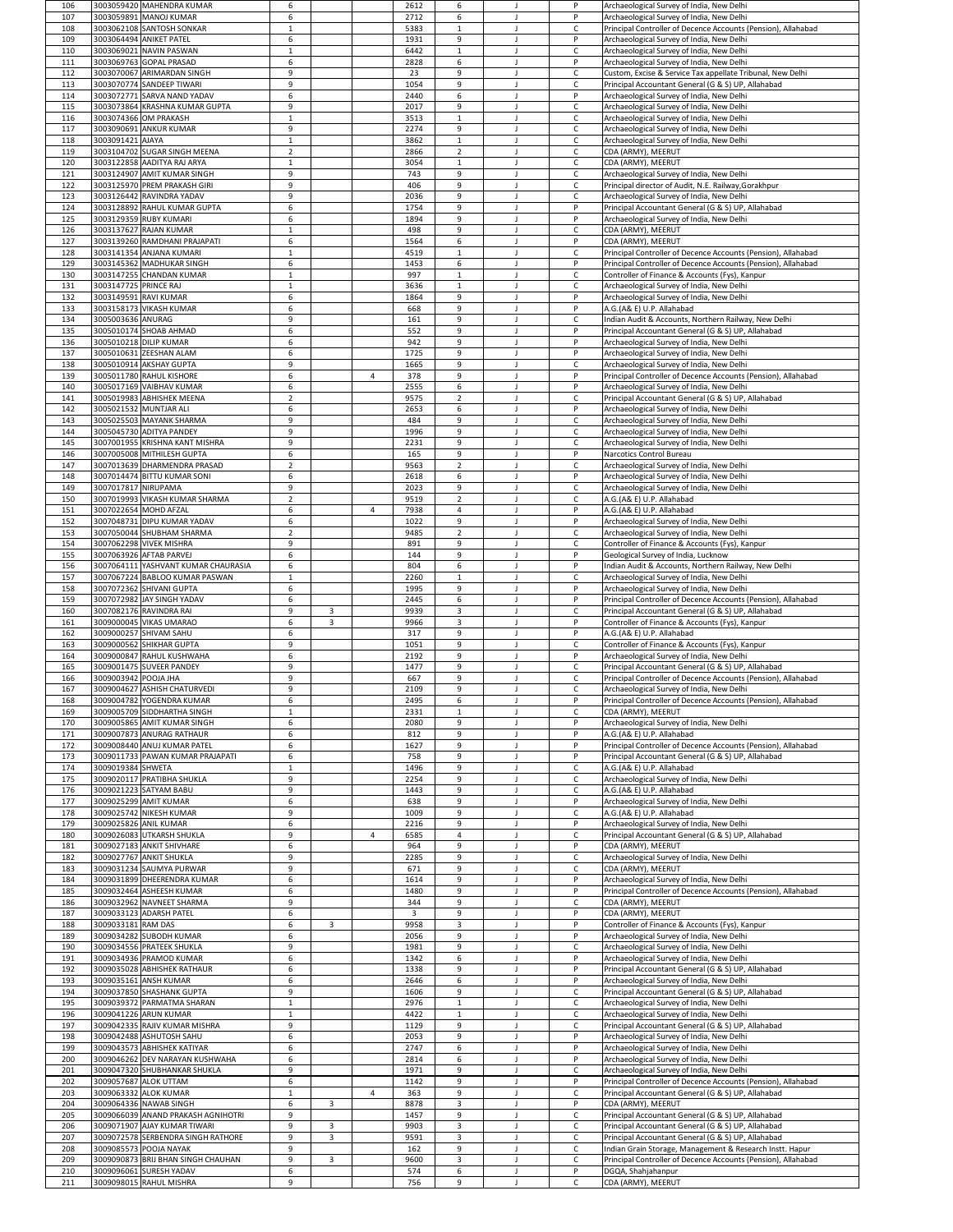| 106        |                       | 3003059420 MAHENDRA KUMAR                                      | 6                            |                |                | 2612         | 6                 |   | P                            | Archaeological Survey of India, New Delhi                                                                  |
|------------|-----------------------|----------------------------------------------------------------|------------------------------|----------------|----------------|--------------|-------------------|---|------------------------------|------------------------------------------------------------------------------------------------------------|
| 107        |                       | 3003059891 MANOJ KUMAR                                         | 6                            |                |                | 2712         | 6                 |   | P                            | Archaeological Survey of India, New Delhi                                                                  |
| 108<br>109 |                       | 3003062108 SANTOSH SONKAR<br>3003064494 ANIKET PATEL           | $\mathbf 1$<br>6             |                |                | 5383<br>1931 | 1<br>9            |   | $\mathsf{C}$<br>P            | Principal Controller of Decence Accounts (Pension), Allahabad<br>Archaeological Survey of India, New Delhi |
| 110        |                       | 3003069021 NAVIN PASWAN                                        | $\mathbf 1$                  |                |                | 6442         | $\mathbf{1}$      |   | $\mathsf{C}$                 | Archaeological Survey of India, New Delhi                                                                  |
| 111        |                       | 3003069763 GOPAL PRASAD                                        | 6                            |                |                | 2828         | 6                 |   | P                            | Archaeological Survey of India, New Delhi                                                                  |
| 112        |                       | 3003070067 ARIMARDAN SINGH                                     | q                            |                |                | 23           | 9                 |   | $\mathsf C$                  | Custom, Excise & Service Tax appellate Tribunal, New Delhi                                                 |
| 113        |                       | 3003070774 SANDEEP TIWARI                                      | $\mathbf{q}$                 |                |                | 1054         | 9                 |   | $\mathsf{C}$                 | Principal Accountant General (G & S) UP, Allahabad                                                         |
| 114        |                       | 3003072771 SARVA NAND YADAV                                    | 6                            |                |                | 2440         | 6                 |   | P                            | Archaeological Survey of India, New Delhi                                                                  |
| 115        |                       | 3003073864 KRASHNA KUMAR GUPTA                                 | q                            |                |                | 2017         | 9                 |   | $\mathsf{C}$                 | Archaeological Survey of India, New Delhi                                                                  |
| 116        |                       | 3003074366 OM PRAKASH                                          | -1<br>9                      |                |                | 3513         | 1                 |   | $\mathsf{C}$                 | Archaeological Survey of India, New Delhi                                                                  |
| 117<br>118 | 3003091421 AJAYA      | 3003090691 ANKUR KUMAR                                         | $\mathbf{1}$                 |                |                | 2274<br>3862 | 9<br>$\mathbf{1}$ |   | $\mathsf{C}$<br>$\mathsf{C}$ | Archaeological Survey of India, New Delhi<br>Archaeological Survey of India, New Delhi                     |
| 119        |                       | 3003104702 SUGAR SINGH MEENA                                   | $\overline{2}$               |                |                | 2866         | $\overline{2}$    |   | $\mathsf C$                  | CDA (ARMY), MEERUT                                                                                         |
| 120        |                       | 3003122858 AADITYA RAJ ARYA                                    | -1                           |                |                | 3054         | $\mathbf{1}$      |   | $\mathsf{C}$                 | CDA (ARMY), MEERUT                                                                                         |
| 121        |                       | 3003124907 AMIT KUMAR SINGH                                    | 9                            |                |                | 743          | 9                 |   | $\mathsf{C}$                 | Archaeological Survey of India, New Delhi                                                                  |
| 122        |                       | 3003125970 PREM PRAKASH GIRI                                   | q                            |                |                | 406          | 9                 |   | $\mathsf{C}$                 | Principal director of Audit, N.E. Railway, Gorakhpur                                                       |
| 123        |                       | 3003126442 RAVINDRA YADAV                                      | 9                            |                |                | 2036         | 9                 |   | $\mathsf C$                  | Archaeological Survey of India, New Delhi                                                                  |
| 124        |                       | 3003128892 RAHUL KUMAR GUPTA                                   | 6                            |                |                | 1754         | 9                 |   | P                            | Principal Accountant General (G & S) UP, Allahabad                                                         |
| 125        |                       | 3003129359 RUBY KUMARI                                         | 6                            |                |                | 1894         | 9                 |   | P                            | Archaeological Survey of India, New Delhi                                                                  |
| 126        |                       | 3003137627 RAJAN KUMAR                                         | -1                           |                |                | 498          | 9                 |   | $\mathsf C$                  | CDA (ARMY), MEERUT                                                                                         |
| 127        |                       | 3003139260 RAMDHANI PRAJAPATI                                  | 6                            |                |                | 1564         | 6                 |   | P                            | CDA (ARMY), MEERUT                                                                                         |
| 128        |                       | 3003141354 ANJANA KUMARI                                       |                              |                |                | 4519         | 1                 |   | $\mathsf{C}$                 | Principal Controller of Decence Accounts (Pension), Allahabad                                              |
| 129        |                       | 3003145362 MADHUKAR SINGH                                      | 6                            |                |                | 1453         | 6                 |   | P                            | Principal Controller of Decence Accounts (Pension), Allahabad                                              |
| 130        |                       | 3003147255 CHANDAN KUMAR                                       | $\mathbf{1}$                 |                |                | 997          | 1                 |   | $\mathsf{C}$                 | Controller of Finance & Accounts (Fys), Kanpur                                                             |
| 131<br>132 | 3003147725 PRINCE RAJ | 3003149591 RAVI KUMAR                                          | -1<br>6                      |                |                | 3636<br>1864 | 1<br>9            |   | $\mathsf C$<br>P             | Archaeological Survey of India, New Delhi<br>Archaeological Survey of India, New Delhi                     |
| 133        |                       | 3003158173 VIKASH KUMAR                                        | 6                            |                |                | 668          | 9                 |   | P                            | A.G.(A& E) U.P. Allahabad                                                                                  |
| 134        | 3005003636 ANURAG     |                                                                | $\mathbf{q}$                 |                |                | 161          | 9                 |   | $\mathsf C$                  | Indian Audit & Accounts, Northern Railway, New Delhi                                                       |
| 135        |                       | 3005010174 SHOAB AHMAD                                         | 6                            |                |                | 552          | 9                 |   | P                            | Principal Accountant General (G & S) UP, Allahabad                                                         |
| 136        |                       | 3005010218 DILIP KUMAR                                         | 6                            |                |                | 942          | 9                 |   | P                            | Archaeological Survey of India, New Delhi                                                                  |
| 137        |                       | 3005010631 ZEESHAN ALAM                                        | 6                            |                |                | 1725         | 9                 |   |                              | Archaeological Survey of India, New Delhi                                                                  |
| 138        |                       | 3005010914 AKSHAY GUPTA                                        | 9                            |                |                | 1665         | 9                 |   | $\mathsf{C}$                 | Archaeological Survey of India, New Delhi                                                                  |
| 139        |                       | 3005011780 RAHUL KISHORE                                       | 6                            |                | $\overline{4}$ | 378          | 9                 |   | P                            | Principal Controller of Decence Accounts (Pension), Allahabad                                              |
| 140        |                       | 3005017169 VAIBHAV KUMAR                                       | 6                            |                |                | 2555         | 6                 |   | P                            | Archaeological Survey of India, New Delhi                                                                  |
| 141        |                       | 3005019983 ABHISHEK MEENA                                      | $\overline{2}$               |                |                | 9575         | $2^{\circ}$       |   | $\mathsf{C}$                 | Principal Accountant General (G & S) UP, Allahabad                                                         |
| 142        |                       | 3005021532 MUNTJAR ALI                                         | 6                            |                |                | 2653         | 6                 |   | P                            | Archaeological Survey of India, New Delhi                                                                  |
| 143        |                       | 3005025503 MAYANK SHARMA                                       | q                            |                |                | 484          | 9                 |   | $\mathsf{C}$                 | Archaeological Survey of India, New Delhi                                                                  |
| 144        |                       | 3005045730 ADITYA PANDEY<br>3007001955 KRISHNA KANT MISHRA     | 9<br>$\mathbf{q}$            |                |                | 1996         | 9                 |   | $\mathsf{C}$                 | Archaeological Survey of India, New Delhi                                                                  |
| 145<br>146 |                       | 3007005008 MITHILESH GUPTA                                     | 6                            |                |                | 2231<br>165  | 9<br>9            |   | $\mathsf C$<br>P             | Archaeological Survey of India, New Delhi<br>Narcotics Control Bureau                                      |
| 147        |                       | 3007013639 DHARMENDRA PRASAD                                   | $\overline{2}$               |                |                | 9563         | $\overline{2}$    |   | $\mathsf C$                  | Archaeological Survey of India, New Delhi                                                                  |
| 148        |                       | 3007014474 BITTU KUMAR SONI                                    | 6                            |                |                | 2618         | 6                 |   | P                            | Archaeological Survey of India, New Delhi                                                                  |
| 149        | 3007017817 NIRUPAMA   |                                                                | $\mathbf{q}$                 |                |                | 2023         | 9                 |   | $\mathsf{C}$                 | Archaeological Survey of India, New Delhi                                                                  |
| 150        |                       | 3007019993 VIKASH KUMAR SHARMA                                 | $\overline{2}$               |                |                | 9519         | $\overline{2}$    |   | $\mathsf C$                  | A.G.(A& E) U.P. Allahabad                                                                                  |
| 151        |                       | 3007022654 MOHD AFZAL                                          | 6                            |                | 4              | 7938         | $\overline{4}$    |   | P                            | A.G.(A& E) U.P. Allahabad                                                                                  |
| 152        |                       | 3007048731 DIPU KUMAR YADAV                                    | 6                            |                |                | 1022         | 9                 |   | P                            | Archaeological Survey of India, New Delhi                                                                  |
| 153        |                       | 3007050044 SHUBHAM SHARMA                                      | $\overline{2}$               |                |                | 9485         | $\overline{2}$    |   | $\mathsf C$                  | Archaeological Survey of India, New Delhi                                                                  |
| 154        |                       | 3007062298 VIVEK MISHRA                                        | 9                            |                |                | 891          | 9                 |   | $\mathsf{C}$                 | Controller of Finance & Accounts (Fys), Kanpur                                                             |
| 155        |                       | 3007063926 AFTAB PARVEJ                                        | 6                            |                |                | 144          | 9                 |   | P                            | Geological Survey of India, Lucknow                                                                        |
| 156        |                       | 3007064111 YASHVANT KUMAR CHAURASIA                            | 6                            |                |                | 804          | 6                 |   | P                            | Indian Audit & Accounts, Northern Railway, New Delhi                                                       |
| 157        |                       | 3007067224 BABLOO KUMAR PASWAN                                 | $\mathbf{1}$                 |                |                | 2260         | 1                 |   | $\mathsf C$<br>P             | Archaeological Survey of India, New Delhi                                                                  |
| 158        |                       | 3007072362 SHIVANI GUPTA<br>3007072982 JAY SINGH YADAV         | 6                            |                |                | 1995         | 9                 |   |                              | Archaeological Survey of India, New Delhi                                                                  |
|            |                       |                                                                |                              |                |                |              |                   |   |                              |                                                                                                            |
| 159        |                       |                                                                | 6                            |                |                | 2445         | 6                 |   | P                            | Principal Controller of Decence Accounts (Pension), Allahabad                                              |
| 160        |                       | 3007082176 RAVINDRA RAI                                        | q                            | 3              |                | 9939         | 3                 |   | $\mathsf{C}$                 | Principal Accountant General (G & S) UP, Allahabad                                                         |
| 161        |                       | 3009000045 VIKAS UMARAO                                        | 6                            | $\overline{3}$ |                | 9966         | $\overline{3}$    |   | P<br>P                       | Controller of Finance & Accounts (Fys), Kanpur                                                             |
| 162        |                       | 3009000257 SHIVAM SAHU<br>3009000562 SHIKHAR GUPTA             | 6<br>q                       |                |                | 317<br>1051  | 9<br>9            |   | $\mathsf{C}$                 | A.G.(A& E) U.P. Allahabad                                                                                  |
| 163<br>164 |                       | 3009000847 RAHUL KUSHWAHA                                      | 6                            |                |                | 2192         | 9                 |   | P                            | Controller of Finance & Accounts (Fys), Kanpur<br>Archaeological Survey of India, New Delhi                |
| 165        |                       | 3009001475 SUVEER PANDEY                                       | 9                            |                |                | 1477         | 9                 |   | $\mathsf{C}$                 | Principal Accountant General (G & S) UP, Allahabad                                                         |
| 166        | 3009003942 POOJA JHA  |                                                                | $\mathbf{q}$                 |                |                | 667          | 9                 |   | $\mathsf{C}$                 | Principal Controller of Decence Accounts (Pension), Allahabad                                              |
| 167        |                       | 3009004627 ASHISH CHATURVEDI                                   | q                            |                |                | 2109         | 9                 |   | $\mathsf C$                  | Archaeological Survey of India, New Delhi                                                                  |
| 168        |                       | 3009004782 YOGENDRA KUMAR                                      | 6                            |                |                | 2495         | 6                 |   | P                            | Principal Controller of Decence Accounts (Pension), Allahabad                                              |
| 169        |                       | 3009005709 SIDDHARTHA SINGH                                    |                              |                |                | 2331         | 1                 |   |                              | CDA (ARMY), MEERUT                                                                                         |
| 170        |                       | 3009005865 AMIT KUMAR SINGH                                    | -6                           |                |                | 2080         | 9                 |   | P                            | Archaeological Survey of India, New Delhi                                                                  |
| 171        |                       | 3009007873 ANURAG RATHAUR                                      | 6                            |                |                | 812          | 9                 |   | P                            | A.G.(A& E) U.P. Allahabad                                                                                  |
| 172        |                       | 3009008440 ANUJ KUMAR PATEL                                    | 6                            |                |                | 1627         | 9                 |   | P<br>P                       | Principal Controller of Decence Accounts (Pension), Allahabad                                              |
| 173<br>174 | 3009019384 SHWETA     | 3009011733 PAWAN KUMAR PRAJAPATI                               | 6<br>-1                      |                |                | 758<br>1496  | 9<br>9            |   | $\mathsf{C}$                 | Principal Accountant General (G & S) UP, Allahabad                                                         |
|            |                       | 3009020117 PRATIBHA SHUKLA                                     | 9                            |                |                | 2254         | 9                 |   | $\mathsf{C}$                 | A.G.(A& E) U.P. Allahabad                                                                                  |
| 175<br>176 |                       | 3009021223 SATYAM BABU                                         | $\mathbf{q}$                 |                |                | 1443         | 9                 |   | $\mathsf{C}$                 | Archaeological Survey of India, New Delhi<br>A.G.(A& E) U.P. Allahabad                                     |
| 177        |                       | 3009025299 AMIT KUMAR                                          | -6                           |                |                | 638          | 9                 |   | P                            | Archaeological Survey of India, New Delhi                                                                  |
| 178        |                       | 3009025742 NIKESH KUMAR                                        | 9                            |                |                | 1009         | 9                 |   | $\mathsf{C}$                 | A.G.(A& E) U.P. Allahabad                                                                                  |
| 179        |                       | 3009025826 ANIL KUMAR                                          | 6                            |                |                | 2216         | 9                 |   | P                            | Archaeological Survey of India, New Delhi                                                                  |
| 180        |                       | 3009026083 UTKARSH SHUKLA                                      | q                            |                | 4              | 6585         | 4                 |   | $\mathsf{C}$                 | Principal Accountant General (G & S) UP, Allahabad                                                         |
| 181        |                       | 3009027183 ANKIT SHIVHARE                                      | 6                            |                |                | 964          | 9                 |   | P                            | CDA (ARMY), MEERUT                                                                                         |
| 182        |                       | 3009027767 ANKIT SHUKLA                                        | $\mathbf{q}$<br>$\mathbf{q}$ |                |                | 2285         | 9                 |   | $\mathsf{C}$                 | Archaeological Survey of India, New Delhi                                                                  |
| 183        |                       | 3009031234 SAUMYA PURWAR                                       | 6                            |                |                | 671          | 9<br>9            |   | $\mathsf{C}$<br>P            | CDA (ARMY), MEERUT                                                                                         |
| 184<br>185 |                       | 3009031899 DHEERENDRA KUMAR<br>3009032464 ASHEESH KUMAR        | 6                            |                |                | 1614<br>1480 | 9                 |   | P                            | Archaeological Survey of India, New Delhi<br>Principal Controller of Decence Accounts (Pension), Allahabad |
| 186        |                       | 3009032962 NAVNEET SHARMA                                      | 9                            |                |                | 344          | 9                 |   | $\mathsf{C}$                 | CDA (ARMY), MEERUT                                                                                         |
| 187        |                       | 3009033123 ADARSH PATEL                                        | 6                            |                |                | 3            | 9                 |   | P                            | CDA (ARMY), MEERUT                                                                                         |
| 188        | 3009033181 RAM DAS    |                                                                | 6                            | 3              |                | 9958         | 3                 |   | P                            | Controller of Finance & Accounts (Fys), Kanpur                                                             |
| 189        |                       | 3009034282 SUBODH KUMAR                                        | 6                            |                |                | 2056         | 9                 |   | P                            | Archaeological Survey of India, New Delhi                                                                  |
| 190        |                       | 3009034556 PRATEEK SHUKLA                                      | $\mathbf{q}$                 |                |                | 1981         | 9                 |   | $\mathsf C$                  | Archaeological Survey of India, New Delhi                                                                  |
| 191        |                       | 3009034936 PRAMOD KUMAR                                        | 6                            |                |                | 1342         | 6                 |   | P                            | Archaeological Survey of India, New Delhi                                                                  |
| 192        |                       | 3009035028 ABHISHEK RATHAUR                                    | 6                            |                |                | 1338         | 9                 |   | P                            | Principal Accountant General (G & S) UP, Allahabad                                                         |
| 193        |                       | 3009035161 ANSH KUMAR                                          | 6                            |                |                | 2646         | 6                 |   | P                            | Archaeological Survey of India, New Delhi                                                                  |
| 194        |                       | 3009037850 SHASHANK GUPTA                                      | <b>Q</b>                     |                |                | 1606         | 9                 |   | C                            | Principal Accountant General (G & S) UP, Allahabad                                                         |
| 195        |                       | 3009039372 PARMATMA SHARAN                                     | $\mathbf{1}$                 |                |                | 2976         | 1                 |   | $\mathsf{C}$                 | Archaeological Survey of India, New Delhi                                                                  |
| 196        |                       | 3009041226 ARUN KUMAR                                          | $\mathbf{q}$                 |                |                | 4422         | 1                 |   | $\mathsf{C}$                 | Archaeological Survey of India, New Delhi                                                                  |
| 197        |                       | 3009042335 RAJIV KUMAR MISHRA                                  |                              |                |                | 1129         | 9                 |   | $\mathsf{C}$<br>P            | Principal Accountant General (G & S) UP, Allahabad                                                         |
| 198        |                       | 3009042488 ASHUTOSH SAHU                                       | 6                            |                |                | 2053         | 9                 |   | P                            | Archaeological Survey of India, New Delhi                                                                  |
| 199        |                       | 3009043573 ABHISHEK KATIYAR<br>3009046262 DEV NARAYAN KUSHWAHA | 6<br>6                       |                |                | 2747<br>2814 | 6<br>6            |   | P                            | Archaeological Survey of India, New Delhi                                                                  |
| 200<br>201 |                       | 3009047320 SHUBHANKAR SHUKLA                                   | 9                            |                |                | 1971         | 9                 | J | C                            | Archaeological Survey of India, New Delhi<br>Archaeological Survey of India, New Delhi                     |
| 202        |                       | 3009057687 ALOK UTTAM                                          | 6                            |                |                | 1142         | 9                 |   | P                            | Principal Controller of Decence Accounts (Pension), Allahabad                                              |
| 203        |                       | 3009063332 ALOK KUMAR                                          | $\mathbf{1}$                 |                | $\overline{4}$ | 363          | 9                 |   | $\mathsf{C}$                 | Principal Accountant General (G & S) UP, Allahabad                                                         |
| 204        |                       | 3009064336 NAWAB SINGH                                         | 6                            | $\overline{3}$ |                | 8878         | $\mathbf{3}$      |   | P                            | CDA (ARMY), MEERUT                                                                                         |
| 205        |                       | 3009066039 ANAND PRAKASH AGNIHOTRI                             | 9                            |                |                | 1457         | 9                 |   | $\mathsf C$                  | Principal Accountant General (G & S) UP, Allahabad                                                         |
| 206        |                       | 3009071907 AJAY KUMAR TIWARI                                   | 9                            | 3              |                | 9903         | 3                 |   | $\mathsf{C}$                 | Principal Accountant General (G & S) UP, Allahabad                                                         |
| 207        |                       | 3009072578 SERBENDRA SINGH RATHORE                             | 9                            | $\overline{3}$ |                | 9591         | $\mathbf{3}$      |   | $\mathsf C$                  | Principal Accountant General (G & S) UP, Allahabad                                                         |
| 208        |                       | 3009085573 POOJA NAYAK                                         | $\mathbf{q}$                 |                |                | 162          | 9                 |   | $\mathsf C$                  | Indian Grain Storage, Management & Research Instt. Hapur                                                   |
| 209        |                       | 3009090873 BRIJ BHAN SINGH CHAUHAN                             | 9                            | $\overline{3}$ |                | 9600         | $\mathbf{3}$      |   | $\mathsf{C}$                 | Principal Controller of Decence Accounts (Pension), Allahabad                                              |
| 210<br>211 |                       | 3009096061 SURESH YADAV<br>3009098015 RAHUL MISHRA             | 6<br>9                       |                |                | 574<br>756   | 6<br>9            |   | P<br>$\mathsf{C}$            | DGQA, Shahjahanpur<br>CDA (ARMY), MEERUT                                                                   |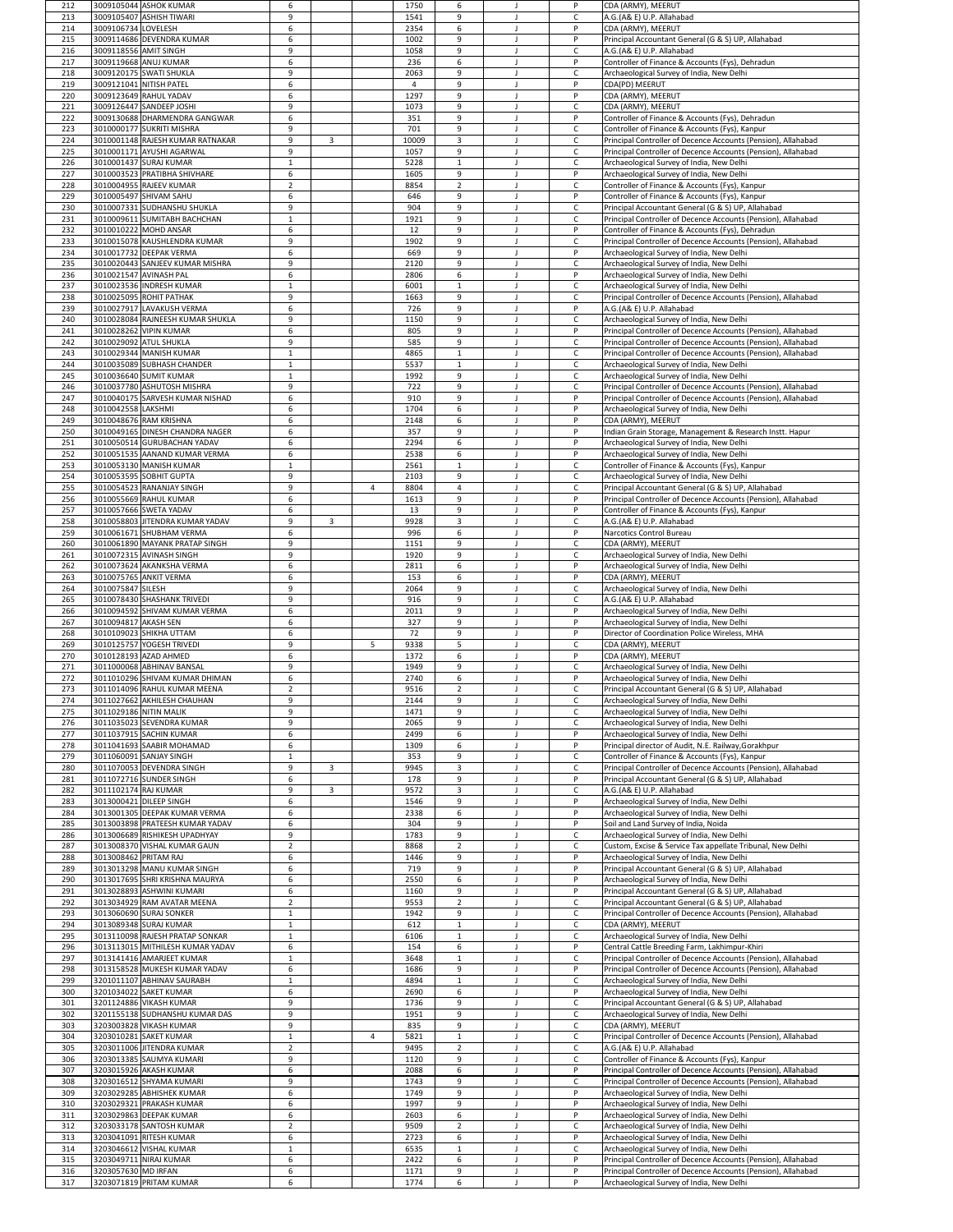| 212        |                       | 3009105044 ASHOK KUMAR                                         | 6                   |                |                | 1750         | 6                |   | P                            | CDA (ARMY), MEERUT                                                                                                             |
|------------|-----------------------|----------------------------------------------------------------|---------------------|----------------|----------------|--------------|------------------|---|------------------------------|--------------------------------------------------------------------------------------------------------------------------------|
| 213        |                       | 3009105407 ASHISH TIWARI                                       | 9                   |                |                | 1541         | 9                |   | $\mathsf{C}$                 | A.G.(A& E) U.P. Allahabad                                                                                                      |
| 214        | 3009106734 LOVELESH   | 3009114686 DEVENDRA KUMAR                                      | 6                   |                |                | 2354<br>1002 | 6                |   | P<br>P                       | CDA (ARMY), MEERUT                                                                                                             |
| 215<br>216 | 3009118556 AMIT SINGH |                                                                | 6<br>$\mathbf{q}$   |                |                | 1058         | 9<br>9           |   | $\mathsf{C}$                 | Principal Accountant General (G & S) UP, Allahabad<br>A.G.(A& E) U.P. Allahabad                                                |
| 217        |                       | 3009119668 ANUJ KUMAR                                          | 6                   |                |                | 236          | 6                |   | P                            | Controller of Finance & Accounts (Fys), Dehradun                                                                               |
| 218        |                       | 3009120175 SWATI SHUKLA                                        | q                   |                |                | 2063         | 9                |   | $\mathsf C$                  | Archaeological Survey of India, New Delhi                                                                                      |
| 219        |                       | 3009121041 NITISH PATEL                                        | 6                   |                |                |              | 9                |   | P                            | CDA(PD) MEERUT                                                                                                                 |
| 220        |                       | 3009123649 RAHUL YADAV                                         | 6                   |                |                | 1297         | 9                |   | P                            | CDA (ARMY), MEERUT                                                                                                             |
| 221        |                       | 3009126447 SANDEEP JOSHI<br>3009130688 DHARMENDRA GANGWAR      | q                   |                |                | 1073         | 9                |   | $\mathsf{C}$<br>P            | CDA (ARMY), MEERUT                                                                                                             |
| 222<br>223 |                       | 3010000177 SUKRITI MISHRA                                      | 6<br>9              |                |                | 351<br>701   | 9<br>9           |   | $\mathsf{C}$                 | Controller of Finance & Accounts (Fys), Dehradun<br>Controller of Finance & Accounts (Fys), Kanpur                             |
| 224        |                       | 3010001148 RAJESH KUMAR RATNAKAR                               | 9                   | $\overline{3}$ |                | 10009        | $\mathbf{3}$     |   | $\mathsf{C}$                 | Principal Controller of Decence Accounts (Pension), Allahabad                                                                  |
| 225        |                       | 3010001171 AYUSHI AGARWAL                                      | q                   |                |                | 1057         | 9                |   | $\mathsf{C}$                 | Principal Controller of Decence Accounts (Pension), Allahabad                                                                  |
| 226        |                       | 3010001437 SURAJ KUMAR                                         | -1                  |                |                | 5228         | $\mathbf{1}$     |   | $\mathsf{C}$                 | Archaeological Survey of India, New Delhi                                                                                      |
| 227        |                       | 3010003523 PRATIBHA SHIVHARE                                   | 6                   |                |                | 1605         | 9                |   | P                            | Archaeological Survey of India, New Delhi                                                                                      |
| 228        |                       | 3010004955 RAJEEV KUMAR                                        | -2                  |                |                | 8854         | $\overline{2}$   |   | $\mathsf{C}$                 | Controller of Finance & Accounts (Fys), Kanpur                                                                                 |
| 229<br>230 |                       | 3010005497 SHIVAM SAHU<br>3010007331 SUDHANSHU SHUKLA          | 6<br>9              |                |                | 646<br>904   | 9<br>9           |   | P<br>$\mathsf{C}$            | Controller of Finance & Accounts (Fys), Kanpur<br>Principal Accountant General (G & S) UP, Allahabad                           |
| 231        |                       | 3010009611 SUMITABH BACHCHAN                                   | $\mathbf{1}$        |                |                | 1921         | 9                |   | $\mathsf{C}$                 | Principal Controller of Decence Accounts (Pension), Allahabad                                                                  |
| 232        |                       | 3010010222 MOHD ANSAR                                          | 6                   |                |                | 12           | 9                |   | P                            | Controller of Finance & Accounts (Fys), Dehradun                                                                               |
| 233        |                       | 3010015078 KAUSHLENDRA KUMAR                                   | $\mathbf{q}$        |                |                | 1902         | 9                |   | $\mathsf{C}$                 | Principal Controller of Decence Accounts (Pension), Allahabad                                                                  |
| 234        |                       | 3010017732 DEEPAK VERMA                                        | 6                   |                |                | 669          | 9                |   | P                            | Archaeological Survey of India, New Delhi                                                                                      |
| 235        |                       | 3010020443 SANJEEV KUMAR MISHRA                                | q                   |                |                | 2120         | 9                |   | $\mathsf C$                  | Archaeological Survey of India, New Delhi                                                                                      |
| 236<br>237 |                       | 3010021547 AVINASH PAL<br>3010023536 INDRESH KUMAR             | 6<br>$\mathbf 1$    |                |                | 2806<br>6001 | 6<br>1           |   | P<br>$\mathsf{C}$            | Archaeological Survey of India, New Delhi<br>Archaeological Survey of India, New Delhi                                         |
| 238        |                       | 3010025095 ROHIT PATHAK                                        | $\mathbf{q}$        |                |                | 1663         | 9                |   | $\mathsf{C}$                 | Principal Controller of Decence Accounts (Pension), Allahabad                                                                  |
| 239        |                       | 3010027917 LAVAKUSH VERMA                                      | 6                   |                |                | 726          | 9                |   | P                            | A.G.(A& E) U.P. Allahabad                                                                                                      |
| 240        |                       | 3010028084 RAJNEESH KUMAR SHUKLA                               | $\mathbf{q}$        |                |                | 1150         | 9                |   | $\mathsf C$                  | Archaeological Survey of India, New Delhi                                                                                      |
| 241        |                       | 3010028262 VIPIN KUMAR                                         | 6                   |                |                | 805          | 9                |   | P                            | Principal Controller of Decence Accounts (Pension), Allahabad                                                                  |
| 242        |                       | 3010029092 ATUL SHUKLA                                         | 9                   |                |                | 585          | 9                |   | $\mathsf C$                  | Principal Controller of Decence Accounts (Pension), Allahabad                                                                  |
| 243<br>244 |                       | 3010029344 MANISH KUMAR<br>3010035089 SUBHASH CHANDER          | $\mathbf{1}$        |                |                | 4865<br>5537 | 1                |   | $\mathsf{C}$<br>$\mathsf{C}$ | Principal Controller of Decence Accounts (Pension), Allahabad<br>Archaeological Survey of India, New Delhi                     |
| 245        |                       | 3010036640 SUMIT KUMAR                                         |                     |                |                | 1992         | 9                |   | $\mathsf C$                  | Archaeological Survey of India, New Delhi                                                                                      |
| 246        |                       | 3010037780 ASHUTOSH MISHRA                                     | 9                   |                |                | 722          | 9                |   | $\mathsf C$                  | Principal Controller of Decence Accounts (Pension), Allahabad                                                                  |
| 247        |                       | 3010040175 SARVESH KUMAR NISHAD                                | 6                   |                |                | 910          | 9                |   | P                            | Principal Controller of Decence Accounts (Pension), Allahabad                                                                  |
| 248        | 3010042558 LAKSHMI    |                                                                | 6                   |                |                | 1704         | 6                |   | P                            | Archaeological Survey of India, New Delhi                                                                                      |
| 249        |                       | 3010048676 RAM KRISHNA                                         | -6                  |                |                | 2148         | 6                |   | P                            | CDA (ARMY), MEERUT                                                                                                             |
| 250<br>251 |                       | 3010049165 DINESH CHANDRA NAGER<br>3010050514 GURUBACHAN YADAV | 6<br>6              |                |                | 357<br>2294  | 9<br>6           |   | P<br>P                       | Indian Grain Storage, Management & Research Instt. Hapur<br>Archaeological Survey of India, New Delhi                          |
| 252        |                       | 3010051535 AANAND KUMAR VERMA                                  | 6                   |                |                | 2538         | 6                |   | P                            | Archaeological Survey of India, New Delhi                                                                                      |
| 253        |                       | 3010053130 MANISH KUMAR                                        | $\mathbf{1}$        |                |                | 2561         | 1                |   | $\mathsf C$                  | Controller of Finance & Accounts (Fys), Kanpur                                                                                 |
| 254        |                       | 3010053595 SOBHIT GUPTA                                        | 9                   |                |                | 2103         | 9                |   | $\mathsf{C}$                 | Archaeological Survey of India, New Delhi                                                                                      |
| 255        |                       | 3010054523 RANANJAY SINGH                                      | $\mathbf{q}$        |                | $\overline{4}$ | 8804         | 4                |   | $\mathsf{C}$                 | Principal Accountant General (G & S) UP, Allahabad                                                                             |
| 256        |                       | 3010055669 RAHUL KUMAR                                         | 6                   |                |                | 1613         | 9                |   | P                            | Principal Controller of Decence Accounts (Pension), Allahabad                                                                  |
| 257        |                       | 3010057666 SWETA YADAV                                         | 6                   |                |                | 13           | 9                |   | P                            | Controller of Finance & Accounts (Fys), Kanpur                                                                                 |
| 258<br>259 |                       | 3010058803 JITENDRA KUMAR YADAV<br>3010061671 SHUBHAM VERMA    | $\mathbf{q}$<br>-6  | 3              |                | 9928<br>996  | 3<br>6           |   | $\mathsf{C}$<br>P            | A.G.(A& E) U.P. Allahabad<br>Narcotics Control Bureau                                                                          |
| 260        |                       | 3010061890 MAYANK PRATAP SINGH                                 | 9                   |                |                | 1151         | 9                |   | $\mathsf{C}$                 | CDA (ARMY), MEERUT                                                                                                             |
| 261        |                       | 3010072315 AVINASH SINGH                                       | 9                   |                |                | 1920         | 9                |   | $\mathsf{C}$                 | Archaeological Survey of India, New Delhi                                                                                      |
| 262        |                       | 3010073624 AKANKSHA VERMA                                      | 6                   |                |                | 2811         | 6                |   | P                            | Archaeological Survey of India, New Delhi                                                                                      |
| 263        |                       | 3010075765 ANKIT VERMA                                         | 6                   |                |                | 153          | 6                |   | P                            | CDA (ARMY), MEERUT                                                                                                             |
| 264        | 3010075847 SILESH     |                                                                | $\mathbf{q}$        |                |                | 2064         | 9                |   | $\mathsf{C}$                 | Archaeological Survey of India, New Delhi                                                                                      |
| 265        |                       | 3010078430 SHASHANK TRIVEDI                                    | $\mathbf{q}$        |                |                | 916          | 9                |   | $\mathsf{C}$                 | A.G.(A& E) U.P. Allahabad                                                                                                      |
| 266<br>267 | 3010094817 AKASH SEN  | 3010094592 SHIVAM KUMAR VERMA                                  | -6<br>6             |                |                | 2011<br>327  | 9<br>9           |   | P<br>P                       | Archaeological Survey of India, New Delhi<br>Archaeological Survey of India, New Delhi                                         |
| 268        |                       | 3010109023 SHIKHA UTTAM                                        | 6                   |                |                | 72           | 9                |   | P                            | Director of Coordination Police Wireless, MHA                                                                                  |
| 269        |                       | 3010125757 YOGESH TRIVEDI                                      | <b>Q</b>            |                | 5              | 9338         | 5                |   | $\mathsf{C}$                 | CDA (ARMY), MEERUT                                                                                                             |
| 270        |                       | 3010128193 AZAD AHMED                                          | 6                   |                |                | 1372         | 6                |   | P                            | CDA (ARMY), MEERUT                                                                                                             |
| 271        |                       | 3011000068 ABHINAV BANSAL                                      | 9                   |                |                | 1949         | 9                |   | $\mathsf{C}$                 | Archaeological Survey of India, New Delhi                                                                                      |
| 272        |                       | 3011010296 SHIVAM KUMAR DHIMAN                                 | 6                   |                |                | 2740         | 6                |   | P                            | Archaeological Survey of India, New Delhi                                                                                      |
| 273<br>274 |                       | 3011014096 RAHUL KUMAR MEENA<br>3011027662 AKHILESH CHAUHAN    | $\overline{2}$<br>9 |                |                | 9516<br>2144 | $2^{\circ}$<br>9 |   | $\mathsf{C}$<br>$\mathsf{C}$ | Principal Accountant General (G & S) UP, Allahabad<br>Archaeological Survey of India, New Delhi                                |
| 275        |                       | 3011029186 NITIN MALIK                                         | $\Omega$            |                |                | 1471         | 9                |   |                              | Archaeological Survey of India, New Delhi                                                                                      |
| 276        |                       | 3011035023 SEVENDRA KUMAR                                      | q                   |                |                | 2065         | 9                |   | $\mathsf{C}$                 | Archaeological Survey of India, New Delhi                                                                                      |
| 277        |                       | 3011037915 SACHIN KUMAR                                        | 6                   |                |                | 2499         | 6                |   | P                            | Archaeological Survey of India, New Delhi                                                                                      |
| 278        |                       | 3011041693 SAABIR MOHAMAD                                      | 6                   |                |                | 1309         | 6                |   | P                            | Principal director of Audit, N.E. Railway, Gorakhpur                                                                           |
| 279<br>280 |                       | 3011060091 SANJAY SINGH<br>3011070053 DEVENDRA SINGH           | $\mathbf 1$<br>9    | 3              |                | 353<br>9945  | 9<br>3           |   | $\mathsf{C}$<br>$\mathsf C$  | Controller of Finance & Accounts (Fys), Kanpur<br>Principal Controller of Decence Accounts (Pension), Allahabad                |
| 281        |                       | 3011072716 SUNDER SINGH                                        | 6                   |                |                | 178          | 9                |   | P                            | Principal Accountant General (G & S) UP, Allahabad                                                                             |
| 282        | 3011102174 RAJ KUMAR  |                                                                | $\mathbf{q}$        | 3              |                | 9572         | 3                |   | $\mathsf{C}$                 | A.G.(A& E) U.P. Allahabad                                                                                                      |
| 283        |                       | 3013000421 DILEEP SINGH                                        | -6                  |                |                | 1546         | 9                |   | P                            | Archaeological Survey of India, New Delhi                                                                                      |
| 284        |                       | 3013001305 DEEPAK KUMAR VERMA                                  | 6                   |                |                | 2338         | 6                |   | P                            | Archaeological Survey of India, New Delhi                                                                                      |
| 285        |                       | 3013003898 PRATEESH KUMAR YADAV                                | 6                   |                |                | 304<br>1783  | 9                |   |                              | Soil and Land Survey of India, Noida                                                                                           |
| 286<br>287 |                       | 3013006689 RISHIKESH UPADHYAY                                  |                     |                |                |              |                  |   | P                            |                                                                                                                                |
|            |                       |                                                                | q                   |                |                |              | 9                |   | $\mathsf{C}$                 | Archaeological Survey of India, New Delhi                                                                                      |
| 288        | 3013008462 PRITAM RAJ | 3013008370 VISHAL KUMAR GAUN                                   | $\overline{2}$<br>6 |                |                | 8868<br>1446 | $2^{\circ}$<br>9 |   | $\mathsf C$<br>P             | Custom, Excise & Service Tax appellate Tribunal, New Delhi<br>Archaeological Survey of India, New Delhi                        |
| 289        |                       | 3013013298 MANU KUMAR SINGH                                    | 6                   |                |                | 719          | 9                |   | P                            | Principal Accountant General (G & S) UP, Allahabad                                                                             |
| 290        |                       | 3013017695 SHRI KRISHNA MAURYA                                 | 6                   |                |                | 2550         | 6                |   | P                            | Archaeological Survey of India, New Delhi                                                                                      |
| 291        |                       | 3013028893 ASHWINI KUMARI                                      | 6                   |                |                | 1160         | 9                |   | P                            | Principal Accountant General (G & S) UP, Allahabad                                                                             |
| 292        |                       | 3013034929 RAM AVATAR MEENA                                    | $\overline{2}$      |                |                | 9553         | $2^{\circ}$      |   | $\mathsf{C}$                 | Principal Accountant General (G & S) UP, Allahabad                                                                             |
| 293        |                       | 3013060690 SURAJ SONKER                                        | $\mathbf 1$         |                |                | 1942         | 9<br>1           |   | $\mathsf C$                  | Principal Controller of Decence Accounts (Pension), Allahabad                                                                  |
| 294<br>295 |                       | 3013089348 SURAJ KUMAR<br>3013110098 RAJESH PRATAP SONKAR      | $\mathbf{1}$        |                |                | 612<br>6106  | 1                |   | $\mathsf{C}$<br>$\mathsf{C}$ | CDA (ARMY), MEERUT<br>Archaeological Survey of India, New Delhi                                                                |
| 296        |                       | 3013113015 MITHILESH KUMAR YADAV                               | 6                   |                |                | 154          | 6                |   | P                            | Central Cattle Breeding Farm, Lakhimpur-Khiri                                                                                  |
| 297        |                       | 3013141416 AMARJEET KUMAR                                      | -1                  |                |                | 3648         | 1                |   | $\mathsf{C}$                 | Principal Controller of Decence Accounts (Pension), Allahabad                                                                  |
| 298        |                       | 3013158528 MUKESH KUMAR YADAV                                  | 6                   |                |                | 1686         | 9                |   | P                            | Principal Controller of Decence Accounts (Pension), Allahabad                                                                  |
| 299        |                       | 3201011107 ABHINAV SAURABH                                     |                     |                |                | 4894         | 1                |   | $\mathsf C$                  | Archaeological Survey of India, New Delhi                                                                                      |
| 300<br>301 |                       | 3201034022 SAKET KUMAR<br>3201124886 VIKASH KUMAR              | 6<br>9              |                |                | 2690<br>1736 | 6<br>9           |   | P<br>$\mathsf{C}$            | Archaeological Survey of India, New Delhi                                                                                      |
| 302        |                       | 3201155138 SUDHANSHU KUMAR DAS                                 | 9                   |                |                | 1951         | 9                |   | $\mathsf{C}$                 | Principal Accountant General (G & S) UP, Allahabad<br>Archaeological Survey of India, New Delhi                                |
| 303        |                       | 3203003828 VIKASH KUMAR                                        | $\mathbf{q}$        |                |                | 835          | 9                |   | $\mathsf{C}$                 | CDA (ARMY), MEERUT                                                                                                             |
| 304        |                       | 3203010281 SAKET KUMAR                                         | -1                  |                | 4              | 5821         | 1                |   | $\mathsf C$                  | Principal Controller of Decence Accounts (Pension), Allahabad                                                                  |
| 305        |                       | 3203011006 JITENDRA KUMAR                                      | $\overline{2}$      |                |                | 9495         | $\overline{2}$   |   | $\mathsf{C}$                 | A.G.(A& E) U.P. Allahabad                                                                                                      |
| 306        |                       | 3203013385 SAUMYA KUMARI                                       | 9                   |                |                | 1120         | 9                |   | $\mathsf{C}$                 | Controller of Finance & Accounts (Fys), Kanpur                                                                                 |
| 307        |                       | 3203015926 AKASH KUMAR                                         | 6                   |                |                | 2088         | 6                | J | P                            | Principal Controller of Decence Accounts (Pension), Allahabad                                                                  |
| 308        |                       | 3203016512 SHYAMA KUMARI                                       | 9                   |                |                | 1743         | 9                |   | $\mathsf C$<br>P             | Principal Controller of Decence Accounts (Pension), Allahabad                                                                  |
| 309<br>310 |                       | 3203029285 ABHISHEK KUMAR<br>3203029321 PRAKASH KUMAR          | 6<br>6              |                |                | 1749<br>1997 | 9<br>9           |   | P                            | Archaeological Survey of India, New Delhi<br>Archaeological Survey of India, New Delhi                                         |
| 311        |                       | 3203029863 DEEPAK KUMAR                                        | 6                   |                |                | 2603         | 6                |   | P                            | Archaeological Survey of India, New Delhi                                                                                      |
| 312        |                       | 3203033178 SANTOSH KUMAR                                       | $\overline{2}$      |                |                | 9509         | $2^{\circ}$      |   | $\mathsf{C}$                 | Archaeological Survey of India, New Delhi                                                                                      |
| 313        |                       | 3203041091 RITESH KUMAR                                        | 6                   |                |                | 2723         | 6                |   | P                            | Archaeological Survey of India, New Delhi                                                                                      |
| 314        |                       | 3203046612 VISHAL KUMAR                                        | - 1                 |                |                | 6535         | 1                |   | $\mathsf{C}$                 | Archaeological Survey of India, New Delhi                                                                                      |
| 315<br>316 | 3203057630 MD IRFAN   | 3203049711 NIRAJ KUMAR                                         | 6<br>6              |                |                | 2422<br>1171 | 6<br>9           |   | P<br>P                       | Principal Controller of Decence Accounts (Pension), Allahabad<br>Principal Controller of Decence Accounts (Pension), Allahabad |